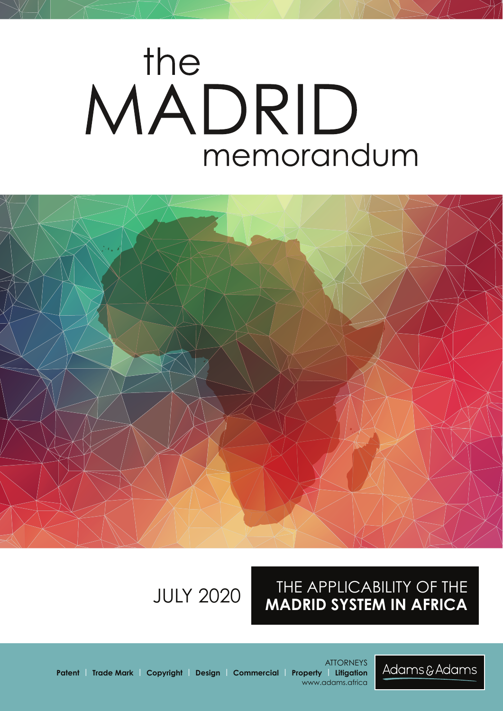# the MADRID memorandum



## THE APPLICABILITY OF THE **MADRID SYSTEM IN AFRICA** JULY 2020

www.adams.africa

**ATTORNEYS** 



**Patent | Trade Mark | Copyright | Design | Commercial | Property | Litigation**